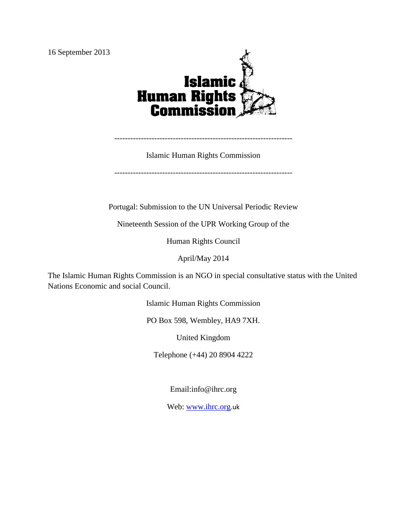

Islamic Human Rights Commission

-------------------------------------------------------------------

-------------------------------------------------------------------

Portugal: Submission to the UN Universal Periodic Review

Nineteenth Session of the UPR Working Group of the

Human Rights Council

April/May 2014

The Islamic Human Rights Commission is an NGO in special consultative status with the United Nations Economic and social Council.

Islamic Human Rights Commission

PO Box 598, Wembley, HA9 7XH.

United Kingdom

Telephone (+44) 20 8904 4222

Email:info@ihrc.org

Web: [www.ihrc.org](http://www.ihrc.org/).uk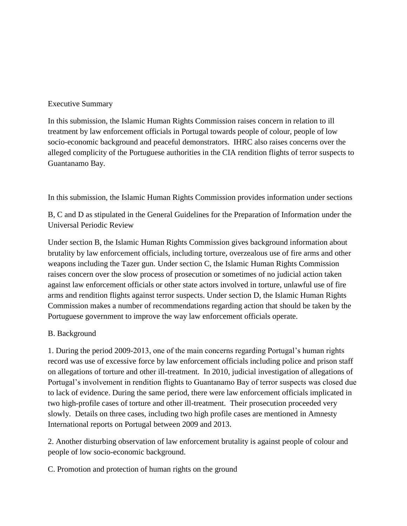#### Executive Summary

In this submission, the Islamic Human Rights Commission raises concern in relation to ill treatment by law enforcement officials in Portugal towards people of colour, people of low socio-economic background and peaceful demonstrators. IHRC also raises concerns over the alleged complicity of the Portuguese authorities in the CIA rendition flights of terror suspects to Guantanamo Bay.

In this submission, the Islamic Human Rights Commission provides information under sections

B, C and D as stipulated in the General Guidelines for the Preparation of Information under the Universal Periodic Review

Under section B, the Islamic Human Rights Commission gives background information about brutality by law enforcement officials, including torture, overzealous use of fire arms and other weapons including the Tazer gun. Under section C, the Islamic Human Rights Commission raises concern over the slow process of prosecution or sometimes of no judicial action taken against law enforcement officials or other state actors involved in torture, unlawful use of fire arms and rendition flights against terror suspects. Under section D, the Islamic Human Rights Commission makes a number of recommendations regarding action that should be taken by the Portuguese government to improve the way law enforcement officials operate.

### B. Background

1. During the period 2009-2013, one of the main concerns regarding Portugal's human rights record was use of excessive force by law enforcement officials including police and prison staff on allegations of torture and other ill-treatment. In 2010, judicial investigation of allegations of Portugal's involvement in rendition flights to Guantanamo Bay of terror suspects was closed due to lack of evidence. During the same period, there were law enforcement officials implicated in two high-profile cases of torture and other ill-treatment. Their prosecution proceeded very slowly. Details on three cases, including two high profile cases are mentioned in Amnesty International reports on Portugal between 2009 and 2013.

2. Another disturbing observation of law enforcement brutality is against people of colour and people of low socio-economic background.

C. Promotion and protection of human rights on the ground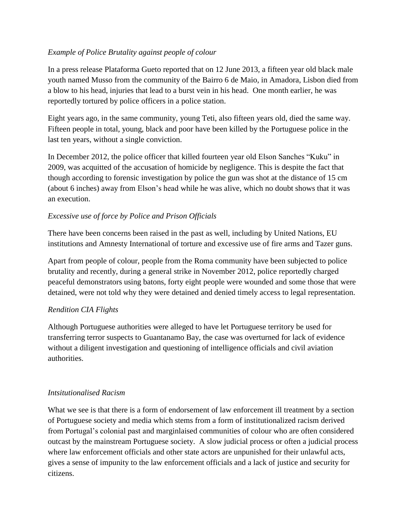## *Example of Police Brutality against people of colour*

In a press release Plataforma Gueto reported that on 12 June 2013, a fifteen year old black male youth named Musso from the community of the Bairro 6 de Maio, in Amadora, Lisbon died from a blow to his head, injuries that lead to a burst vein in his head. One month earlier, he was reportedly tortured by police officers in a police station.

Eight years ago, in the same community, young Teti, also fifteen years old, died the same way. Fifteen people in total, young, black and poor have been killed by the Portuguese police in the last ten years, without a single conviction.

In December 2012, the police officer that killed fourteen year old Elson Sanches "Kuku" in 2009, was acquitted of the accusation of homicide by negligence. This is despite the fact that though according to forensic investigation by police the gun was shot at the distance of 15 cm (about 6 inches) away from Elson's head while he was alive, which no doubt shows that it was an execution.

# *Excessive use of force by Police and Prison Officials*

There have been concerns been raised in the past as well, including by United Nations, EU institutions and Amnesty International of torture and excessive use of fire arms and Tazer guns.

Apart from people of colour, people from the Roma community have been subjected to police brutality and recently, during a general strike in November 2012, police reportedly charged peaceful demonstrators using batons, forty eight people were wounded and some those that were detained, were not told why they were detained and denied timely access to legal representation.

# *Rendition CIA Flights*

Although Portuguese authorities were alleged to have let Portuguese territory be used for transferring terror suspects to Guantanamo Bay, the case was overturned for lack of evidence without a diligent investigation and questioning of intelligence officials and civil aviation authorities.

### *Intsitutionalised Racism*

What we see is that there is a form of endorsement of law enforcement ill treatment by a section of Portuguese society and media which stems from a form of institutionalized racism derived from Portugal's colonial past and marginlaised communities of colour who are often considered outcast by the mainstream Portuguese society. A slow judicial process or often a judicial process where law enforcement officials and other state actors are unpunished for their unlawful acts, gives a sense of impunity to the law enforcement officials and a lack of justice and security for citizens.